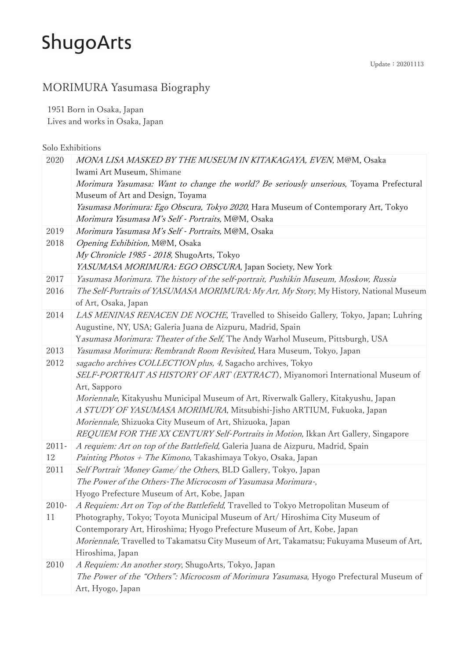#### MORIMURA Yasumasa Biography

1951 Born in Osaka, Japan Lives and works in Osaka, Japan

Solo Exhibitions

| 2020     | MONA LISA MASKED BY THE MUSEUM IN KITAKAGAYA, EVEN, M@M, Osaka                            |
|----------|-------------------------------------------------------------------------------------------|
|          | Iwami Art Museum, Shimane                                                                 |
|          | Morimura Yasumasa: Want to change the world? Be seriously unserious, Toyama Prefectural   |
|          | Museum of Art and Design, Toyama                                                          |
|          | Yasumasa Morimura: Ego Obscura, Tokyo 2020, Hara Museum of Contemporary Art, Tokyo        |
|          | Morimura Yasumasa M's Self - Portraits, M@M, Osaka                                        |
| 2019     | Morimura Yasumasa M's Self - Portraits, M@M, Osaka                                        |
| 2018     | Opening Exhibition, M@M, Osaka                                                            |
|          | My Chronicle 1985 - 2018, ShugoArts, Tokyo                                                |
|          | YASUMASA MORIMURA: EGO OBSCURA, Japan Society, New York                                   |
| 2017     | Yasumasa Morimura. The history of the self-portrait, Pushikin Museum, Moskow, Russia      |
| 2016     | The Self-Portraits of YASUMASA MORIMURA: My Art, My Story, My History, National Museum    |
|          | of Art, Osaka, Japan                                                                      |
| 2014     | LAS MENINAS RENACEN DE NOCHE, Travelled to Shiseido Gallery, Tokyo, Japan; Luhring        |
|          | Augustine, NY, USA; Galeria Juana de Aizpuru, Madrid, Spain                               |
|          | Yasumasa Morimura: Theater of the Self, The Andy Warhol Museum, Pittsburgh, USA           |
| 2013     | Yasumasa Morimura: Rembrandt Room Revisited, Hara Museum, Tokyo, Japan                    |
| 2012     | sagacho archives COLLECTION plus, 4, Sagacho archives, Tokyo                              |
|          | SELF-PORTRAIT AS HISTORY OF ART (EXTRACT), Miyanomori International Museum of             |
|          | Art, Sapporo                                                                              |
|          | Moriennale, Kitakyushu Municipal Museum of Art, Riverwalk Gallery, Kitakyushu, Japan      |
|          | A STUDY OF YASUMASA MORIMURA, Mitsubishi-Jisho ARTIUM, Fukuoka, Japan                     |
|          | Moriennale, Shizuoka City Museum of Art, Shizuoka, Japan                                  |
|          | REQUIEM FOR THE XX CENTURY Self-Portraits in Motion, Ikkan Art Gallery, Singapore         |
| $2011 -$ | A requiem: Art on top of the Battlefield, Galeria Juana de Aizpuru, Madrid, Spain         |
| 12       | Painting Photos + The Kimono, Takashimaya Tokyo, Osaka, Japan                             |
| 2011     | Self Portrait 'Money Game/the Others, BLD Gallery, Tokyo, Japan                           |
|          | The Power of the Others-The Microcosm of Yasumasa Morimura-,                              |
|          | Hyogo Prefecture Museum of Art, Kobe, Japan                                               |
| $2010 -$ | A Requiem: Art on Top of the Battlefield, Travelled to Tokyo Metropolitan Museum of       |
| 11       | Photography, Tokyo; Toyota Municipal Museum of Art/ Hiroshima City Museum of              |
|          | Contemporary Art, Hiroshima; Hyogo Prefecture Museum of Art, Kobe, Japan                  |
|          | Moriennale, Travelled to Takamatsu City Museum of Art, Takamatsu; Fukuyama Museum of Art, |
|          | Hiroshima, Japan                                                                          |
| 2010     | A Requiem: An another story, ShugoArts, Tokyo, Japan                                      |
|          | The Power of the "Others": Microcosm of Morimura Yasumasa, Hyogo Prefectural Museum of    |
|          | Art, Hyogo, Japan                                                                         |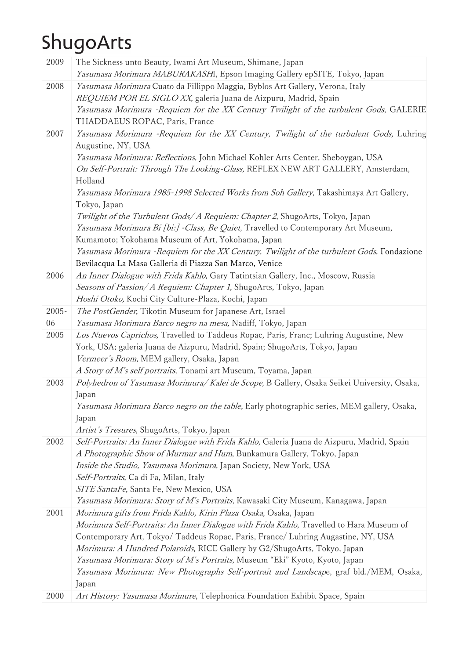| 2009  | The Sickness unto Beauty, Iwami Art Museum, Shimane, Japan                                                                                                            |
|-------|-----------------------------------------------------------------------------------------------------------------------------------------------------------------------|
|       | Yasumasa Morimura MABURAKASHI, Epson Imaging Gallery epSITE, Tokyo, Japan                                                                                             |
| 2008  | Yasumasa Morimura Cuato da Fillippo Maggia, Byblos Art Gallery, Verona, Italy                                                                                         |
|       | REQUIEM POR EL SIGLO XX, galeria Juana de Aizpuru, Madrid, Spain                                                                                                      |
|       | Yasumasa Morimura -Requiem for the XX Century Twilight of the turbulent Gods, GALERIE<br>THADDAEUS ROPAC, Paris, France                                               |
| 2007  | Yasumasa Morimura -Requiem for the XX Century, Twilight of the turbulent Gods, Luhring                                                                                |
|       | Augustine, NY, USA                                                                                                                                                    |
|       | Yasumasa Morimura: Reflections, John Michael Kohler Arts Center, Sheboygan, USA                                                                                       |
|       | On Self-Portrait: Through The Looking-Glass, REFLEX NEW ART GALLERY, Amsterdam,                                                                                       |
|       | Holland                                                                                                                                                               |
|       | Yasumasa Morimura 1985-1998 Selected Works from Soh Gallery, Takashimaya Art Gallery,                                                                                 |
|       | Tokyo, Japan                                                                                                                                                          |
|       | Twilight of the Turbulent Gods/ A Requiem: Chapter 2, ShugoArts, Tokyo, Japan                                                                                         |
|       | Yasumasa Morimura Bi [bi:] - Class, Be Quiet, Travelled to Contemporary Art Museum,                                                                                   |
|       | Kumamoto; Yokohama Museum of Art, Yokohama, Japan                                                                                                                     |
|       | Yasumasa Morimura -Requiem for the XX Century, Twilight of the turbulent Gods, Fondazione                                                                             |
|       | Bevilacqua La Masa Galleria di Piazza San Marco, Venice                                                                                                               |
| 2006  | An Inner Dialogue with Frida Kahlo, Gary Tatintsian Gallery, Inc., Moscow, Russia                                                                                     |
|       | Seasons of Passion/A Requiem: Chapter 1, ShugoArts, Tokyo, Japan                                                                                                      |
|       | Hoshi Otoko, Kochi City Culture-Plaza, Kochi, Japan                                                                                                                   |
| 2005- | The PostGender, Tikotin Museum for Japanese Art, Israel                                                                                                               |
| 06    | Yasumasa Morimura Barco negro na mesa, Nadiff, Tokyo, Japan                                                                                                           |
| 2005  | Los Nuevos Caprichos, Travelled to Taddeus Ropac, Paris, Franc; Luhring Augustine, New                                                                                |
|       | York, USA; galeria Juana de Aizpuru, Madrid, Spain; ShugoArts, Tokyo, Japan                                                                                           |
|       | Vermeer's Room, MEM gallery, Osaka, Japan                                                                                                                             |
|       | A Story of M's self portraits, Tonami art Museum, Toyama, Japan                                                                                                       |
| 2003  | Polyhedron of Yasumasa Morimura/ Kalei de Scope, B Gallery, Osaka Seikei University, Osaka,                                                                           |
|       | Japan                                                                                                                                                                 |
|       | Yasumasa Morimura Barco negro on the table, Early photographic series, MEM gallery, Osaka,                                                                            |
|       | Japan                                                                                                                                                                 |
| 2002  | Artist's Tresures, ShugoArts, Tokyo, Japan                                                                                                                            |
|       | Self-Portraits: An Inner Dialogue with Frida Kahlo, Galeria Juana de Aizpuru, Madrid, Spain<br>A Photographic Show of Murmur and Hum, Bunkamura Gallery, Tokyo, Japan |
|       | Inside the Studio, Yasumasa Morimura, Japan Society, New York, USA                                                                                                    |
|       | Self-Portraits, Ca di Fa, Milan, Italy                                                                                                                                |
|       | SITE SantaFe, Santa Fe, New Mexico, USA                                                                                                                               |
|       | Yasumasa Morimura: Story of M's Portraits, Kawasaki City Museum, Kanagawa, Japan                                                                                      |
| 2001  | Morimura gifts from Frida Kahlo, Kirin Plaza Osaka, Osaka, Japan                                                                                                      |
|       | Morimura Self-Portraits: An Inner Dialogue with Frida Kahlo, Travelled to Hara Museum of                                                                              |
|       | Contemporary Art, Tokyo/ Taddeus Ropac, Paris, France/ Luhring Augastine, NY, USA                                                                                     |
|       | Morimura: A Hundred Polaroids, RICE Gallery by G2/ShugoArts, Tokyo, Japan                                                                                             |
|       | Yasumasa Morimura: Story of M's Portraits, Museum "Eki" Kyoto, Kyoto, Japan                                                                                           |
|       | Yasumasa Morimura: New Photographs Self-portrait and Landscape, graf bld./MEM, Osaka,                                                                                 |
|       | Japan                                                                                                                                                                 |
| 2000  | Art History: Yasumasa Morimure, Telephonica Foundation Exhibit Space, Spain                                                                                           |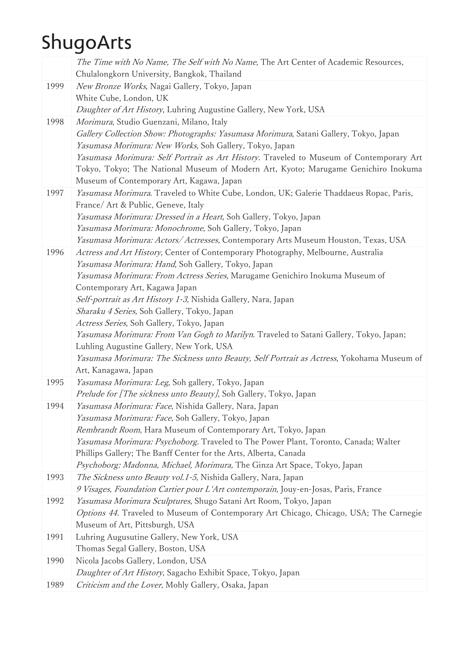|      | The Time with No Name, The Self with No Name, The Art Center of Academic Resources,<br>Chulalongkorn University, Bangkok, Thailand                                                                                         |
|------|----------------------------------------------------------------------------------------------------------------------------------------------------------------------------------------------------------------------------|
| 1999 | New Bronze Works, Nagai Gallery, Tokyo, Japan                                                                                                                                                                              |
|      | White Cube, London, UK                                                                                                                                                                                                     |
|      | Daughter of Art History, Luhring Augustine Gallery, New York, USA                                                                                                                                                          |
| 1998 | Morimura, Studio Guenzani, Milano, Italy<br>Gallery Collection Show: Photographs: Yasumasa Morimura, Satani Gallery, Tokyo, Japan<br>Yasumasa Morimura: New Works, Soh Gallery, Tokyo, Japan                               |
|      | Yasumasa Morimura: Self Portrait as Art History. Traveled to Museum of Contemporary Art<br>Tokyo, Tokyo; The National Museum of Modern Art, Kyoto; Marugame Genichiro Inokuma<br>Museum of Contemporary Art, Kagawa, Japan |
| 1997 | Yasumasa Morimura. Traveled to White Cube, London, UK; Galerie Thaddaeus Ropac, Paris,                                                                                                                                     |
|      | France/ Art & Public, Geneve, Italy                                                                                                                                                                                        |
|      | Yasumasa Morimura: Dressed in a Heart, Soh Gallery, Tokyo, Japan                                                                                                                                                           |
|      | Yasumasa Morimura: Monochrome, Soh Gallery, Tokyo, Japan                                                                                                                                                                   |
|      | Yasumasa Morimura: Actors/Actresses, Contemporary Arts Museum Houston, Texas, USA                                                                                                                                          |
| 1996 | Actress and Art History, Center of Contemporary Photography, Melbourne, Australia                                                                                                                                          |
|      | Yasumasa Morimura: Hand, Soh Gallery, Tokyo, Japan                                                                                                                                                                         |
|      | Yasumasa Morimura: From Actress Series, Marugame Genichiro Inokuma Museum of                                                                                                                                               |
|      | Contemporary Art, Kagawa Japan                                                                                                                                                                                             |
|      | Self-portrait as Art History 1-3, Nishida Gallery, Nara, Japan                                                                                                                                                             |
|      | Sharaku 4 Series, Soh Gallery, Tokyo, Japan                                                                                                                                                                                |
|      | Actress Series, Soh Gallery, Tokyo, Japan<br>Yasumasa Morimura: From Van Gogh to Marilyn. Traveled to Satani Gallery, Tokyo, Japan;                                                                                        |
|      | Luhling Augustine Gallery, New York, USA                                                                                                                                                                                   |
|      | Yasumasa Morimura: The Sickness unto Beauty, Self Portrait as Actress, Yokohama Museum of                                                                                                                                  |
|      | Art, Kanagawa, Japan                                                                                                                                                                                                       |
| 1995 | Yasumasa Morimura: Leg, Soh gallery, Tokyo, Japan                                                                                                                                                                          |
|      | Prelude for [The sickness unto Beauty], Soh Gallery, Tokyo, Japan                                                                                                                                                          |
| 1994 | Yasumasa Morimura: Face, Nishida Gallery, Nara, Japan                                                                                                                                                                      |
|      | Yasumasa Morimura: Face, Soh Gallery, Tokyo, Japan                                                                                                                                                                         |
|      | Rembrandt Room, Hara Museum of Contemporary Art, Tokyo, Japan                                                                                                                                                              |
|      | Yasumasa Morimura: Psychoborg. Traveled to The Power Plant, Toronto, Canada; Walter                                                                                                                                        |
|      | Phillips Gallery; The Banff Center for the Arts, Alberta, Canada<br>Psychoborg: Madonna, Michael, Morimura, The Ginza Art Space, Tokyo, Japan                                                                              |
| 1993 | The Sickness unto Beauty vol.1-5, Nishida Gallery, Nara, Japan                                                                                                                                                             |
|      | 9 Visages, Foundation Cartier pour L'Art contemporain, Jouy-en-Josas, Paris, France                                                                                                                                        |
| 1992 | Yasumasa Morimura Sculptures, Shugo Satani Art Room, Tokyo, Japan                                                                                                                                                          |
|      | Options 44. Traveled to Museum of Contemporary Art Chicago, Chicago, USA; The Carnegie                                                                                                                                     |
|      | Museum of Art, Pittsburgh, USA                                                                                                                                                                                             |
| 1991 | Luhring Augusutine Gallery, New York, USA                                                                                                                                                                                  |
|      | Thomas Segal Gallery, Boston, USA                                                                                                                                                                                          |
| 1990 | Nicola Jacobs Gallery, London, USA                                                                                                                                                                                         |
|      | Daughter of Art History, Sagacho Exhibit Space, Tokyo, Japan                                                                                                                                                               |
| 1989 | Criticism and the Lover, Mohly Gallery, Osaka, Japan                                                                                                                                                                       |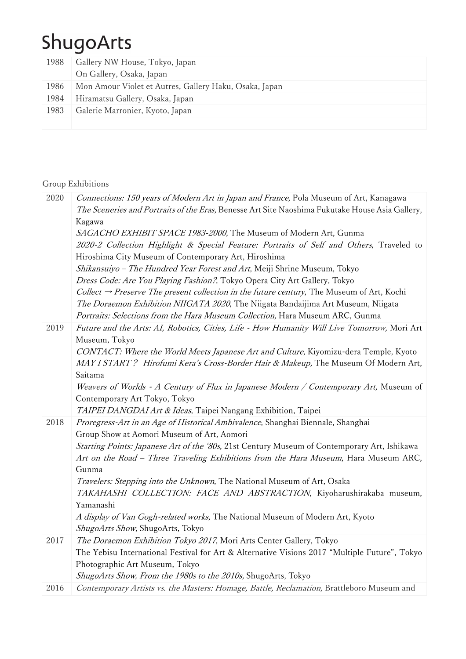| 1988 | Gallery NW House, Tokyo, Japan                         |
|------|--------------------------------------------------------|
|      | On Gallery, Osaka, Japan                               |
| 1986 | Mon Amour Violet et Autres, Gallery Haku, Osaka, Japan |
| 1984 | Hiramatsu Gallery, Osaka, Japan                        |
| 1983 | Galerie Marronier, Kyoto, Japan                        |
|      |                                                        |

#### Group Exhibitions

| 2020 | Connections: 150 years of Modern Art in Japan and France, Pola Museum of Art, Kanagawa<br>The Sceneries and Portraits of the Eras, Benesse Art Site Naoshima Fukutake House Asia Gallery, |
|------|-------------------------------------------------------------------------------------------------------------------------------------------------------------------------------------------|
|      | Kagawa                                                                                                                                                                                    |
|      | SAGACHO EXHIBIT SPACE 1983-2000, The Museum of Modern Art, Gunma                                                                                                                          |
|      | 2020-2 Collection Highlight & Special Feature: Portraits of Self and Others, Traveled to                                                                                                  |
|      | Hiroshima City Museum of Contemporary Art, Hiroshima                                                                                                                                      |
|      | Shikansuiyo - The Hundred Year Forest and Art, Meiji Shrine Museum, Tokyo                                                                                                                 |
|      | Dress Code: Are You Playing Fashion?, Tokyo Opera City Art Gallery, Tokyo                                                                                                                 |
|      | Collect $\rightarrow$ Preserve The present collection in the future century, The Museum of Art, Kochi                                                                                     |
|      | The Doraemon Exhibition NIIGATA 2020, The Niigata Bandaijima Art Museum, Niigata                                                                                                          |
|      | Portraits: Selections from the Hara Museum Collection, Hara Museum ARC, Gunma                                                                                                             |
| 2019 | Future and the Arts: AI, Robotics, Cities, Life - How Humanity Will Live Tomorrow, Mori Art                                                                                               |
|      | Museum, Tokyo                                                                                                                                                                             |
|      | CONTACT: Where the World Meets Japanese Art and Culture, Kiyomizu-dera Temple, Kyoto                                                                                                      |
|      | MAY I START? Hirofumi Kera's Cross-Border Hair & Makeup, The Museum Of Modern Art,                                                                                                        |
|      | Saitama                                                                                                                                                                                   |
|      | Weavers of Worlds - A Century of Flux in Japanese Modern / Contemporary Art, Museum of                                                                                                    |
|      | Contemporary Art Tokyo, Tokyo                                                                                                                                                             |
|      | TAIPEI DANGDAI Art & Ideas, Taipei Nangang Exhibition, Taipei                                                                                                                             |
| 2018 | Proregress-Art in an Age of Historical Ambivalence, Shanghai Biennale, Shanghai                                                                                                           |
|      | Group Show at Aomori Museum of Art, Aomori                                                                                                                                                |
|      | Starting Points: Japanese Art of the '80s, 21st Century Museum of Contemporary Art, Ishikawa                                                                                              |
|      | Art on the Road - Three Traveling Exhibitions from the Hara Museum, Hara Museum ARC,                                                                                                      |
|      | Gunma                                                                                                                                                                                     |
|      | Travelers: Stepping into the Unknown, The National Museum of Art, Osaka                                                                                                                   |
|      | TAKAHASHI COLLECTION: FACE AND ABSTRACTION, Kiyoharushirakaba museum,                                                                                                                     |
|      | Yamanashi                                                                                                                                                                                 |
|      | A display of Van Gogh-related works, The National Museum of Modern Art, Kyoto                                                                                                             |
|      | ShugoArts Show, ShugoArts, Tokyo                                                                                                                                                          |
| 2017 | The Doraemon Exhibition Tokyo 2017, Mori Arts Center Gallery, Tokyo                                                                                                                       |
|      | The Yebisu International Festival for Art & Alternative Visions 2017 "Multiple Future", Tokyo                                                                                             |
|      | Photographic Art Museum, Tokyo                                                                                                                                                            |
| 2016 | ShugoArts Show, From the 1980s to the 2010s, ShugoArts, Tokyo<br>Contemporary Artists vs. the Masters: Homage, Battle, Reclamation, Brattleboro Museum and                                |
|      |                                                                                                                                                                                           |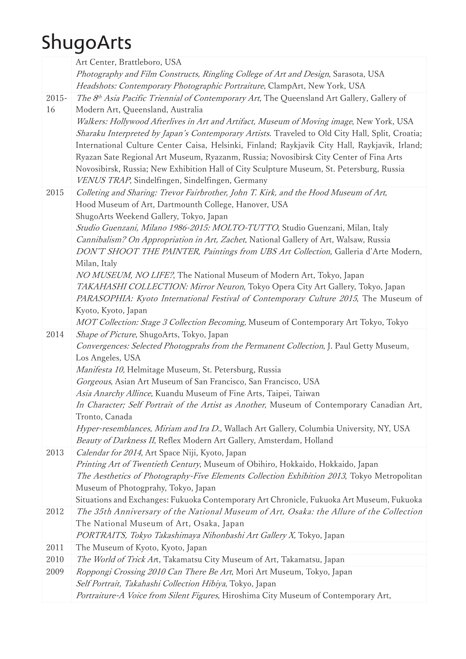|       | Art Center, Brattleboro, USA                                                                                                                            |
|-------|---------------------------------------------------------------------------------------------------------------------------------------------------------|
|       | Photography and Film Constructs, Ringling College of Art and Design, Sarasota, USA                                                                      |
|       | Headshots: Contemporary Photographic Portraiture, ClampArt, New York, USA                                                                               |
| 2015- | The 8th Asia Pacific Triennial of Contemporary Art, The Queensland Art Gallery, Gallery of                                                              |
| 16    | Modern Art, Queensland, Australia                                                                                                                       |
|       | Walkers: Hollywood Afterlives in Art and Artifact, Museum of Moving image, New York, USA                                                                |
|       | Sharaku Interpreted by Japan's Contemporary Artists. Traveled to Old City Hall, Split, Croatia;                                                         |
|       | International Culture Center Caisa, Helsinki, Finland; Raykjavik City Hall, Raykjavik, Irland;                                                          |
|       | Ryazan Sate Regional Art Museum, Ryazanm, Russia; Novosibirsk City Center of Fina Arts                                                                  |
|       | Novosibirsk, Russia; New Exhibition Hall of City Sculpture Museum, St. Petersburg, Russia                                                               |
|       | VENUS TRAP, Sindelfingen, Sindelfingen, Germany                                                                                                         |
| 2015  | Colleting and Sharing: Trevor Fairbrother, John T. Kirk, and the Hood Museum of Art,                                                                    |
|       | Hood Museum of Art, Dartmounth College, Hanover, USA                                                                                                    |
|       | ShugoArts Weekend Gallery, Tokyo, Japan                                                                                                                 |
|       | Studio Guenzani, Milano 1986-2015: MOLTO-TUTTO, Studio Guenzani, Milan, Italy                                                                           |
|       | Cannibalism? On Appropriation in Art, Zachet, National Gallery of Art, Walsaw, Russia                                                                   |
|       | DON'T SHOOT THE PAINTER, Paintings from UBS Art Collection, Galleria d'Arte Modern,                                                                     |
|       | Milan, Italy                                                                                                                                            |
|       | NO MUSEUM, NO LIFE?, The National Museum of Modern Art, Tokyo, Japan<br>TAKAHASHI COLLECTION: Mirror Neuron, Tokyo Opera City Art Gallery, Tokyo, Japan |
|       | PARASOPHIA: Kyoto International Festival of Contemporary Culture 2015, The Museum of                                                                    |
|       | Kyoto, Kyoto, Japan                                                                                                                                     |
|       | MOT Collection: Stage 3 Collection Becoming, Museum of Contemporary Art Tokyo, Tokyo                                                                    |
| 2014  | Shape of Picture, ShugoArts, Tokyo, Japan                                                                                                               |
|       | Convergences: Selected Photogprahs from the Permanent Collection, J. Paul Getty Museum,                                                                 |
|       | Los Angeles, USA                                                                                                                                        |
|       | Manifesta 10, Helmitage Museum, St. Petersburg, Russia                                                                                                  |
|       | Gorgeous, Asian Art Museum of San Francisco, San Francisco, USA                                                                                         |
|       | Asia Anarchy Allince, Kuandu Museum of Fine Arts, Taipei, Taiwan                                                                                        |
|       | In Character; Self Portrait of the Artist as Another, Museum of Contemporary Canadian Art,                                                              |
|       | Tronto, Canada                                                                                                                                          |
|       | Hyper-resemblances, Miriam and Ira D., Wallach Art Gallery, Columbia University, NY, USA                                                                |
|       | Beauty of Darkness II, Reflex Modern Art Gallery, Amsterdam, Holland                                                                                    |
| 2013  | Calendar for 2014, Art Space Niji, Kyoto, Japan                                                                                                         |
|       | Printing Art of Twentieth Century, Museum of Obihiro, Hokkaido, Hokkaido, Japan                                                                         |
|       | The Aesthetics of Photography-Five Elements Collection Exhibition 2013, Tokyo Metropolitan                                                              |
|       | Museum of Photogprahy, Tokyo, Japan                                                                                                                     |
|       | Situations and Exchanges: Fukuoka Contemporary Art Chronicle, Fukuoka Art Museum, Fukuoka                                                               |
| 2012  | The 35th Anniversary of the National Museum of Art, Osaka: the Allure of the Collection                                                                 |
|       | The National Museum of Art, Osaka, Japan                                                                                                                |
|       | PORTRAITS, Tokyo Takashimaya Nihonbashi Art Gallery X, Tokyo, Japan                                                                                     |
| 2011  | The Museum of Kyoto, Kyoto, Japan                                                                                                                       |
| 2010  | The World of Trick Art, Takamatsu City Museum of Art, Takamatsu, Japan                                                                                  |
| 2009  | Roppongi Crossing 2010 Can There Be Art, Mori Art Museum, Tokyo, Japan                                                                                  |
|       | Self Portrait, Takahashi Collection Hibiya, Tokyo, Japan<br>Portraiture-A Voice from Silent Figures, Hiroshima City Museum of Contemporary Art,         |
|       |                                                                                                                                                         |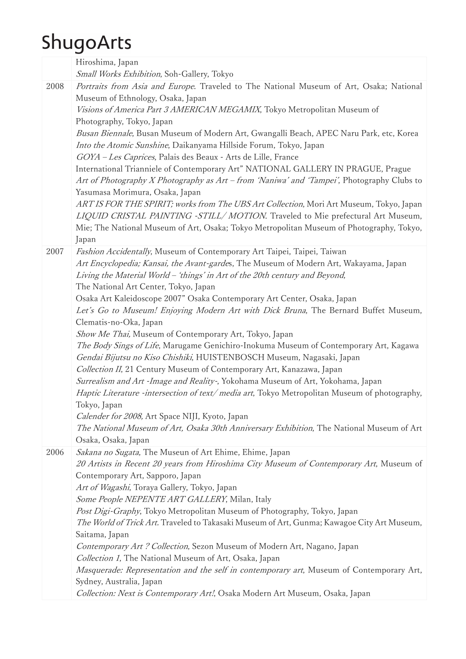|      | Hiroshima, Japan                                                                                                                                                                                                                                                                                                                                                                                                                                                                                                                                                                                                                                                                                                                                                                                                                                                                                                                                                                                                                                                                                                                                                     |
|------|----------------------------------------------------------------------------------------------------------------------------------------------------------------------------------------------------------------------------------------------------------------------------------------------------------------------------------------------------------------------------------------------------------------------------------------------------------------------------------------------------------------------------------------------------------------------------------------------------------------------------------------------------------------------------------------------------------------------------------------------------------------------------------------------------------------------------------------------------------------------------------------------------------------------------------------------------------------------------------------------------------------------------------------------------------------------------------------------------------------------------------------------------------------------|
|      | Small Works Exhibition, Soh-Gallery, Tokyo                                                                                                                                                                                                                                                                                                                                                                                                                                                                                                                                                                                                                                                                                                                                                                                                                                                                                                                                                                                                                                                                                                                           |
| 2008 | Portraits from Asia and Europe. Traveled to The National Museum of Art, Osaka; National<br>Museum of Ethnology, Osaka, Japan<br>Visions of America Part 3 AMERICAN MEGAMIX, Tokyo Metropolitan Museum of<br>Photography, Tokyo, Japan<br>Busan Biennale, Busan Museum of Modern Art, Gwangalli Beach, APEC Naru Park, etc, Korea<br>Into the Atomic Sunshine, Daikanyama Hillside Forum, Tokyo, Japan<br>GOYA - Les Caprices, Palais des Beaux - Arts de Lille, France<br>International Trianniele of Contemporary Art" NATIONAL GALLERY IN PRAGUE, Prague<br>Art of Photography X Photography as Art - from 'Naniwa' and 'Tampei', Photography Clubs to<br>Yasumasa Morimura, Osaka, Japan<br>ART IS FOR THE SPIRIT; works from The UBS Art Collection, Mori Art Museum, Tokyo, Japan<br>LIQUID CRISTAL PAINTING -STILL/MOTION. Traveled to Mie prefectural Art Museum,<br>Mie; The National Museum of Art, Osaka; Tokyo Metropolitan Museum of Photography, Tokyo,<br>Japan                                                                                                                                                                                        |
| 2007 | Fashion Accidentally, Museum of Contemporary Art Taipei, Taipei, Taiwan<br>Art Encyclopedia; Kansai, the Avant-gardes, The Museum of Modern Art, Wakayama, Japan<br>Living the Material World - 'things' in Art of the 20th century and Beyond,<br>The National Art Center, Tokyo, Japan<br>Osaka Art Kaleidoscope 2007" Osaka Contemporary Art Center, Osaka, Japan<br>Let's Go to Museum! Enjoying Modern Art with Dick Bruna, The Bernard Buffet Museum,<br>Clematis-no-Oka, Japan<br>Show Me Thai, Museum of Contemporary Art, Tokyo, Japan<br>The Body Sings of Life, Marugame Genichiro-Inokuma Museum of Contemporary Art, Kagawa<br>Gendai Bijutsu no Kiso Chishiki, HUISTENBOSCH Museum, Nagasaki, Japan<br>Collection II, 21 Century Museum of Contemporary Art, Kanazawa, Japan<br>Surrealism and Art -Image and Reality-, Yokohama Museum of Art, Yokohama, Japan<br>Haptic Literature -intersection of text/media art, Tokyo Metropolitan Museum of photography,<br>Tokyo, Japan<br>Calender for 2008, Art Space NIJI, Kyoto, Japan<br>The National Museum of Art, Osaka 30th Anniversary Exhibition, The National Museum of Art<br>Osaka, Osaka, Japan |
| 2006 | Sakana no Sugata, The Museun of Art Ehime, Ehime, Japan<br>20 Artists in Recent 20 years from Hiroshima City Museum of Contemporary Art, Museum of<br>Contemporary Art, Sapporo, Japan<br>Art of Wagashi, Toraya Gallery, Tokyo, Japan<br>Some People NEPENTE ART GALLERY, Milan, Italy<br>Post Digi-Graphy, Tokyo Metropolitan Museum of Photography, Tokyo, Japan<br>The World of Trick Art. Traveled to Takasaki Museum of Art, Gunma; Kawagoe City Art Museum,<br>Saitama, Japan<br>Contemporary Art ? Collection, Sezon Museum of Modern Art, Nagano, Japan<br>Collection 1, The National Museum of Art, Osaka, Japan<br>Masquerade: Representation and the self in contemporary art, Museum of Contemporary Art,<br>Sydney, Australia, Japan<br>Collection: Next is Contemporary Art!, Osaka Modern Art Museum, Osaka, Japan                                                                                                                                                                                                                                                                                                                                   |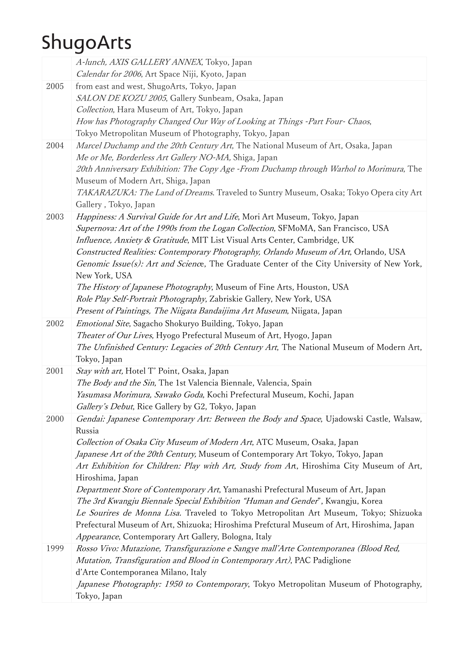|      | A-lunch, AXIS GALLERY ANNEX, Tokyo, Japan<br>Calendar for 2006, Art Space Niji, Kyoto, Japan                                                                                                                                                                                                                                                                                                                                                                                                                                                                                                                                                                                                                                                                                                           |
|------|--------------------------------------------------------------------------------------------------------------------------------------------------------------------------------------------------------------------------------------------------------------------------------------------------------------------------------------------------------------------------------------------------------------------------------------------------------------------------------------------------------------------------------------------------------------------------------------------------------------------------------------------------------------------------------------------------------------------------------------------------------------------------------------------------------|
| 2005 | from east and west, ShugoArts, Tokyo, Japan<br>SALON DE KOZU 2005, Gallery Sunbeam, Osaka, Japan<br>Collection, Hara Museum of Art, Tokyo, Japan<br>How has Photography Changed Our Way of Looking at Things -Part Four- Chaos,<br>Tokyo Metropolitan Museum of Photography, Tokyo, Japan                                                                                                                                                                                                                                                                                                                                                                                                                                                                                                              |
| 2004 | Marcel Duchamp and the 20th Century Art, The National Museum of Art, Osaka, Japan<br>Me or Me, Borderless Art Gallery NO-MA, Shiga, Japan<br>20th Anniversary Exhibition: The Copy Age -From Duchamp through Warhol to Morimura, The<br>Museum of Modern Art, Shiga, Japan<br>TAKARAZUKA: The Land of Dreams. Traveled to Suntry Museum, Osaka; Tokyo Opera city Art<br>Gallery, Tokyo, Japan                                                                                                                                                                                                                                                                                                                                                                                                          |
| 2003 | Happiness: A Survival Guide for Art and Life, Mori Art Museum, Tokyo, Japan<br>Supernova: Art of the 1990s from the Logan Collection, SFMoMA, San Francisco, USA<br>Influence, Anxiety & Gratitude, MIT List Visual Arts Center, Cambridge, UK<br>Constructed Realities: Contemporary Photography, Orlando Museum of Art, Orlando, USA<br>Genomic Issue(s): Art and Science, The Graduate Center of the City University of New York,<br>New York, USA<br>The History of Japanese Photography, Museum of Fine Arts, Houston, USA<br>Role Play Self-Portrait Photography, Zabriskie Gallery, New York, USA<br>Present of Paintings, The Niigata Bandaijima Art Museum, Niigata, Japan                                                                                                                    |
| 2002 | Emotional Site, Sagacho Shokuryo Building, Tokyo, Japan<br>Theater of Our Lives, Hyogo Prefectural Museum of Art, Hyogo, Japan<br>The Unfinished Century: Legacies of 20th Century Art, The National Museum of Modern Art,<br>Tokyo, Japan                                                                                                                                                                                                                                                                                                                                                                                                                                                                                                                                                             |
| 2001 | Stay with art, Hotel T' Point, Osaka, Japan<br>The Body and the Sin, The 1st Valencia Biennale, Valencia, Spain<br>Yasumasa Morimura, Sawako Goda, Kochi Prefectural Museum, Kochi, Japan<br>Gallery's Debut, Rice Gallery by G2, Tokyo, Japan                                                                                                                                                                                                                                                                                                                                                                                                                                                                                                                                                         |
| 2000 | Gendai: Japanese Contemporary Art: Between the Body and Space, Ujadowski Castle, Walsaw,<br>Russia<br>Collection of Osaka City Museum of Modern Art, ATC Museum, Osaka, Japan<br>Japanese Art of the 20th Century, Museum of Contemporary Art Tokyo, Tokyo, Japan<br>Art Exhibition for Children: Play with Art, Study from Art, Hiroshima City Museum of Art,<br>Hiroshima, Japan<br>Department Store of Contemporary Art, Yamanashi Prefectural Museum of Art, Japan<br>The 3rd Kwangju Biennale Special Exhibition "Human and Gender", Kwangju, Korea<br>Le Sourires de Monna Lisa. Traveled to Tokyo Metropolitan Art Museum, Tokyo; Shizuoka<br>Prefectural Museum of Art, Shizuoka; Hiroshima Prefctural Museum of Art, Hiroshima, Japan<br>Appearance, Contemporary Art Gallery, Bologna, Italy |
| 1999 | Rosso Vivo: Mutazione, Transfigurazione e Sangye mall'Arte Contemporanea (Blood Red,<br>Mutation, Transfiguration and Blood in Contemporary Art), PAC Padiglione<br>d'Arte Contemporanea Milano, Italy<br>Japanese Photography: 1950 to Contemporary, Tokyo Metropolitan Museum of Photography,<br>Tokyo, Japan                                                                                                                                                                                                                                                                                                                                                                                                                                                                                        |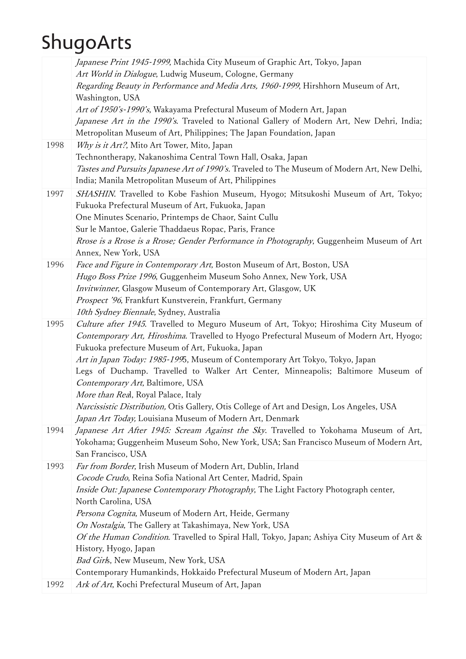|      | Japanese Print 1945-1999, Machida City Museum of Graphic Art, Tokyo, Japan                                                                            |
|------|-------------------------------------------------------------------------------------------------------------------------------------------------------|
|      | Art World in Dialogue, Ludwig Museum, Cologne, Germany                                                                                                |
|      | Regarding Beauty in Performance and Media Arts, 1960-1999, Hirshhorn Museum of Art,                                                                   |
|      | Washington, USA                                                                                                                                       |
|      | Art of 1950's-1990's, Wakayama Prefectural Museum of Modern Art, Japan                                                                                |
|      | Japanese Art in the 1990's. Traveled to National Gallery of Modern Art, New Dehri, India;                                                             |
|      | Metropolitan Museum of Art, Philippines; The Japan Foundation, Japan                                                                                  |
| 1998 | Why is it Art?, Mito Art Tower, Mito, Japan                                                                                                           |
|      | Technontherapy, Nakanoshima Central Town Hall, Osaka, Japan                                                                                           |
|      | Tastes and Pursuits Japanese Art of 1990's. Traveled to The Museum of Modern Art, New Delhi,<br>India; Manila Metropolitan Museum of Art, Philippines |
|      |                                                                                                                                                       |
| 1997 | SHASHIN. Travelled to Kobe Fashion Museum, Hyogo; Mitsukoshi Museum of Art, Tokyo;<br>Fukuoka Prefectural Museum of Art, Fukuoka, Japan               |
|      | One Minutes Scenario, Printemps de Chaor, Saint Cullu                                                                                                 |
|      | Sur le Mantoe, Galerie Thaddaeus Ropac, Paris, France                                                                                                 |
|      | Rrose is a Rrose is a Rrose; Gender Performance in Photography, Guggenheim Museum of Art                                                              |
|      | Annex, New York, USA                                                                                                                                  |
| 1996 | Face and Figure in Contemporary Art, Boston Museum of Art, Boston, USA                                                                                |
|      | Hugo Boss Prize 1996, Guggenheim Museum Soho Annex, New York, USA                                                                                     |
|      | Invitwinner, Glasgow Museum of Contemporary Art, Glasgow, UK                                                                                          |
|      | Prospect '96, Frankfurt Kunstverein, Frankfurt, Germany                                                                                               |
|      | 10th Sydney Biennale, Sydney, Australia                                                                                                               |
| 1995 | Culture after 1945. Travelled to Meguro Museum of Art, Tokyo; Hiroshima City Museum of                                                                |
|      | Contemporary Art, Hiroshima. Travelled to Hyogo Prefectural Museum of Modern Art, Hyogo;                                                              |
|      | Fukuoka prefecture Museum of Art, Fukuoka, Japan                                                                                                      |
|      | Art in Japan Today: 1985-1995, Museum of Contemporary Art Tokyo, Tokyo, Japan                                                                         |
|      | Legs of Duchamp. Travelled to Walker Art Center, Minneapolis; Baltimore Museum of                                                                     |
|      | Contemporary Art, Baltimore, USA                                                                                                                      |
|      | More than Real, Royal Palace, Italy<br>Narcissistic Distribution, Otis Gallery, Otis College of Art and Design, Los Angeles, USA                      |
|      | Japan Art Today, Louisiana Museum of Modern Art, Denmark                                                                                              |
| 1994 | Japanese Art After 1945: Scream Against the Sky. Travelled to Yokohama Museum of Art,                                                                 |
|      | Yokohama; Guggenheim Museum Soho, New York, USA; San Francisco Museum of Modern Art,                                                                  |
|      | San Francisco, USA                                                                                                                                    |
| 1993 | Far from Border, Irish Museum of Modern Art, Dublin, Irland                                                                                           |
|      | Cocode Crudo, Reina Sofia National Art Center, Madrid, Spain                                                                                          |
|      | Inside Out: Japanese Contemporary Photography, The Light Factory Photograph center,                                                                   |
|      | North Carolina, USA                                                                                                                                   |
|      | Persona Cognita, Museum of Modern Art, Heide, Germany                                                                                                 |
|      | On Nostalgia, The Gallery at Takashimaya, New York, USA                                                                                               |
|      | Of the Human Condition. Travelled to Spiral Hall, Tokyo, Japan; Ashiya City Museum of Art &                                                           |
|      | History, Hyogo, Japan                                                                                                                                 |
|      | Bad Girls, New Museum, New York, USA                                                                                                                  |
|      | Contemporary Humankinds, Hokkaido Prefectural Museum of Modern Art, Japan                                                                             |
| 1992 | Ark of Art, Kochi Prefectural Museum of Art, Japan                                                                                                    |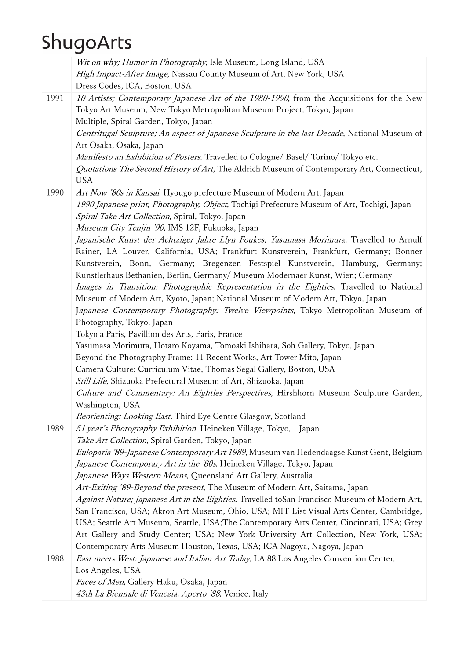|      | Wit on why; Humor in Photography, Isle Museum, Long Island, USA                               |
|------|-----------------------------------------------------------------------------------------------|
|      | High Impact-After Image, Nassau County Museum of Art, New York, USA                           |
|      | Dress Codes, ICA, Boston, USA                                                                 |
| 1991 | 10 Artists; Contemporary Japanese Art of the 1980-1990, from the Acquisitions for the New     |
|      | Tokyo Art Museum, New Tokyo Metropolitan Museum Project, Tokyo, Japan                         |
|      | Multiple, Spiral Garden, Tokyo, Japan                                                         |
|      | Centrifugal Sculpture; An aspect of Japanese Sculpture in the last Decade, National Museum of |
|      | Art Osaka, Osaka, Japan                                                                       |
|      |                                                                                               |
|      | Manifesto an Exhibition of Posters. Travelled to Cologne/ Basel/ Torino/ Tokyo etc.           |
|      | Quotations The Second History of Art, The Aldrich Museum of Contemporary Art, Connecticut,    |
|      | <b>USA</b>                                                                                    |
| 1990 | Art Now '80s in Kansai, Hyougo prefecture Museum of Modern Art, Japan                         |
|      | 1990 Japanese print, Photography, Object, Tochigi Prefecture Museum of Art, Tochigi, Japan    |
|      | Spiral Take Art Collection, Spiral, Tokyo, Japan                                              |
|      | Museum City Tenjin '90, IMS 12F, Fukuoka, Japan                                               |
|      | Japanische Kunst der Achtziger Jahre Llyn Foukes, Yasumasa Morimura. Travelled to Arnulf      |
|      | Rainer, LA Louver, California, USA; Frankfurt Kunstverein, Frankfurt, Germany; Bonner         |
|      | Kunstverein, Bonn, Germany; Bregenzen Festspiel Kunstverein, Hamburg, Germany;                |
|      | Kunstlerhaus Bethanien, Berlin, Germany/ Museum Modernaer Kunst, Wien; Germany                |
|      | Images in Transition: Photographic Representation in the Eighties. Travelled to National      |
|      |                                                                                               |
|      | Museum of Modern Art, Kyoto, Japan; National Museum of Modern Art, Tokyo, Japan               |
|      | Japanese Contemporary Photography: Twelve Viewpoints, Tokyo Metropolitan Museum of            |
|      | Photography, Tokyo, Japan                                                                     |
|      | Tokyo a Paris, Pavillion des Arts, Paris, France                                              |
|      | Yasumasa Morimura, Hotaro Koyama, Tomoaki Ishihara, Soh Gallery, Tokyo, Japan                 |
|      | Beyond the Photography Frame: 11 Recent Works, Art Tower Mito, Japan                          |
|      | Camera Culture: Curriculum Vitae, Thomas Segal Gallery, Boston, USA                           |
|      | Still Life, Shizuoka Prefectural Museum of Art, Shizuoka, Japan                               |
|      | Culture and Commentary: An Eighties Perspectives, Hirshhorn Museum Sculpture Garden,          |
|      | Washington, USA                                                                               |
|      | Reorienting: Looking East, Third Eye Centre Glasgow, Scotland                                 |
| 1989 | 51 year's Photography Exhibition, Heineken Village, Tokyo, Japan                              |
|      | Take Art Collection, Spiral Garden, Tokyo, Japan                                              |
|      | Euloparia '89-Japanese Contemporary Art 1989, Museum van Hedendaagse Kunst Gent, Belgium      |
|      | Japanese Contemporary Art in the '80s, Heineken Village, Tokyo, Japan                         |
|      |                                                                                               |
|      | Japanese Ways Western Means, Queensland Art Gallery, Australia                                |
|      | Art-Exiting '89-Beyond the present, The Museum of Modern Art, Saitama, Japan                  |
|      | Against Nature; Japanese Art in the Eighties. Travelled toSan Francisco Museum of Modern Art, |
|      | San Francisco, USA; Akron Art Museum, Ohio, USA; MIT List Visual Arts Center, Cambridge,      |
|      | USA; Seattle Art Museum, Seattle, USA; The Contemporary Arts Center, Cincinnati, USA; Grey    |
|      | Art Gallery and Study Center; USA; New York University Art Collection, New York, USA;         |
|      | Contemporary Arts Museum Houston, Texas, USA; ICA Nagoya, Nagoya, Japan                       |
| 1988 | East meets West: Japanese and Italian Art Today, LA 88 Los Angeles Convention Center,         |
|      | Los Angeles, USA                                                                              |
|      | Faces of Men, Gallery Haku, Osaka, Japan                                                      |
|      | 43th La Biennale di Venezia, Aperto '88, Venice, Italy                                        |
|      |                                                                                               |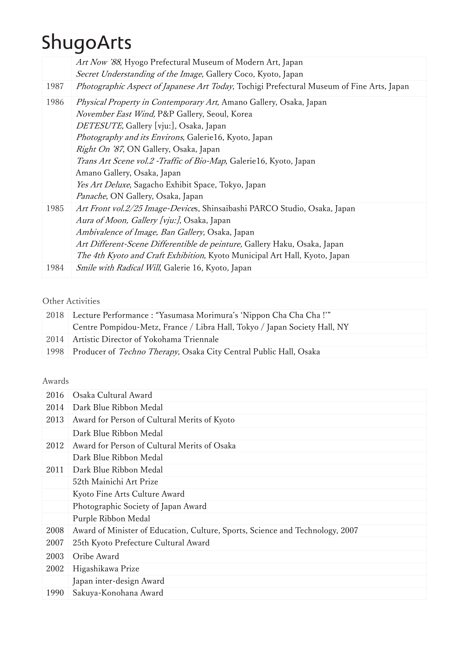|      | Art Now '88, Hyogo Prefectural Museum of Modern Art, Japan                                |
|------|-------------------------------------------------------------------------------------------|
|      | Secret Understanding of the Image, Gallery Coco, Kyoto, Japan                             |
| 1987 | Photographic Aspect of Japanese Art Today, Tochigi Prefectural Museum of Fine Arts, Japan |
| 1986 | <i>Physical Property in Contemporary Art</i> , Amano Gallery, Osaka, Japan                |
|      | November East Wind, P&P Gallery, Seoul, Korea                                             |
|      | DETESUTE, Gallery [vju:], Osaka, Japan                                                    |
|      | Photography and its Environs, Galerie16, Kyoto, Japan                                     |
|      | Right On '87, ON Gallery, Osaka, Japan                                                    |
|      | <i>Trans Art Scene vol.2 -Traffic of Bio-Map</i> , Galerie16, Kyoto, Japan                |
|      | Amano Gallery, Osaka, Japan                                                               |
|      | Yes Art Deluxe, Sagacho Exhibit Space, Tokyo, Japan                                       |
|      | Panache, ON Gallery, Osaka, Japan                                                         |
| 1985 | Art Front vol.2/25 Image-Devices, Shinsaibashi PARCO Studio, Osaka, Japan                 |
|      | Aura of Moon, Gallery [vju:], Osaka, Japan                                                |
|      | Ambivalence of Image, Ban Gallery, Osaka, Japan                                           |
|      | Art Different-Scene Differentible de peinture, Gallery Haku, Osaka, Japan                 |
|      | The 4th Kyoto and Craft Exhibition, Kyoto Municipal Art Hall, Kyoto, Japan                |
| 1984 | Smile with Radical Will, Galerie 16, Kyoto, Japan                                         |
|      |                                                                                           |

#### Other Activities

| 2018 Lecture Performance : "Yasumasa Morimura's 'Nippon Cha Cha Cha !'"        |
|--------------------------------------------------------------------------------|
| Centre Pompidou-Metz, France / Libra Hall, Tokyo / Japan Society Hall, NY      |
| 2014 Artistic Director of Yokohama Triennale                                   |
| 1998 Producer of <i>Techno Therapy</i> , Osaka City Central Public Hall, Osaka |

#### Awards

| 2016 | Osaka Cultural Award                                                          |
|------|-------------------------------------------------------------------------------|
| 2014 | Dark Blue Ribbon Medal                                                        |
| 2013 | Award for Person of Cultural Merits of Kyoto                                  |
|      | Dark Blue Ribbon Medal                                                        |
| 2012 | Award for Person of Cultural Merits of Osaka                                  |
|      | Dark Blue Ribbon Medal                                                        |
| 2011 | Dark Blue Ribbon Medal                                                        |
|      | 52th Mainichi Art Prize                                                       |
|      | Kyoto Fine Arts Culture Award                                                 |
|      | Photographic Society of Japan Award                                           |
|      | Purple Ribbon Medal                                                           |
| 2008 | Award of Minister of Education, Culture, Sports, Science and Technology, 2007 |
| 2007 | 25th Kyoto Prefecture Cultural Award                                          |
| 2003 | Oribe Award                                                                   |
| 2002 | Higashikawa Prize                                                             |
|      | Japan inter-design Award                                                      |
| 1990 | Sakuya-Konohana Award                                                         |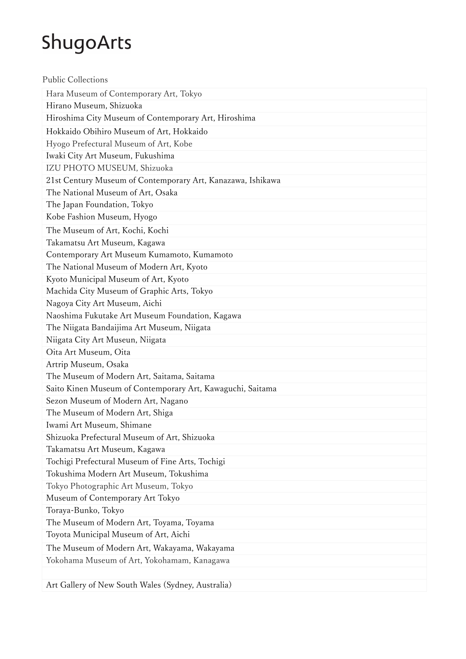| <b>Public Collections</b>                                   |
|-------------------------------------------------------------|
| Hara Museum of Contemporary Art, Tokyo                      |
| Hirano Museum, Shizuoka                                     |
| Hiroshima City Museum of Contemporary Art, Hiroshima        |
| Hokkaido Obihiro Museum of Art, Hokkaido                    |
| Hyogo Prefectural Museum of Art, Kobe                       |
| Iwaki City Art Museum, Fukushima                            |
| IZU PHOTO MUSEUM, Shizuoka                                  |
| 21st Century Museum of Contemporary Art, Kanazawa, Ishikawa |
| The National Museum of Art, Osaka                           |
| The Japan Foundation, Tokyo                                 |
| Kobe Fashion Museum, Hyogo                                  |
| The Museum of Art, Kochi, Kochi                             |
| Takamatsu Art Museum, Kagawa                                |
| Contemporary Art Museum Kumamoto, Kumamoto                  |
| The National Museum of Modern Art, Kyoto                    |
| Kyoto Municipal Museum of Art, Kyoto                        |
| Machida City Museum of Graphic Arts, Tokyo                  |
| Nagoya City Art Museum, Aichi                               |
| Naoshima Fukutake Art Museum Foundation, Kagawa             |
| The Niigata Bandaijima Art Museum, Niigata                  |
| Niigata City Art Museun, Niigata                            |
| Oita Art Museum, Oita                                       |
| Artrip Museum, Osaka                                        |
| The Museum of Modern Art, Saitama, Saitama                  |
| Saito Kinen Museum of Contemporary Art, Kawaguchi, Saitama  |
| Sezon Museum of Modern Art, Nagano                          |
| The Museum of Modern Art, Shiga                             |
| Iwami Art Museum, Shimane                                   |
| Shizuoka Prefectural Museum of Art, Shizuoka                |
| Takamatsu Art Museum, Kagawa                                |
| Tochigi Prefectural Museum of Fine Arts, Tochigi            |
| Tokushima Modern Art Museum, Tokushima                      |
| Tokyo Photographic Art Museum, Tokyo                        |
| Museum of Contemporary Art Tokyo                            |
| Toraya-Bunko, Tokyo                                         |
| The Museum of Modern Art, Toyama, Toyama                    |
| Toyota Municipal Museum of Art, Aichi                       |
| The Museum of Modern Art, Wakayama, Wakayama                |
| Yokohama Museum of Art, Yokohamam, Kanagawa                 |
|                                                             |
| Art Gallery of New South Wales (Sydney, Australia)          |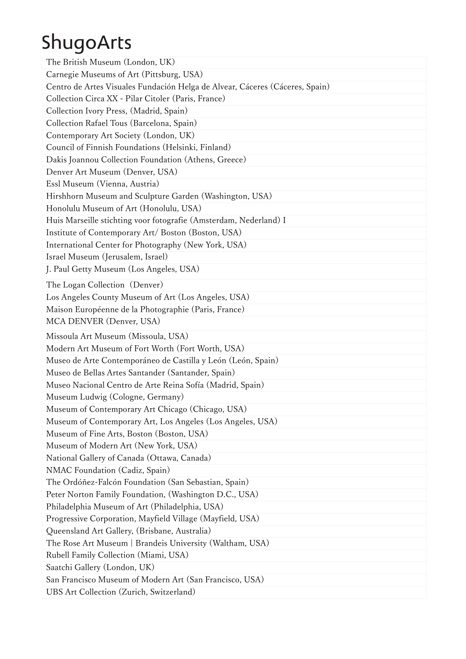| The British Museum (London, UK)                                                                                 |
|-----------------------------------------------------------------------------------------------------------------|
| Carnegie Museums of Art (Pittsburg, USA)                                                                        |
| Centro de Artes Visuales Fundación Helga de Alvear, Cáceres (Cáceres, Spain)                                    |
| Collection Circa XX - Pilar Citoler (Paris, France)                                                             |
| Collection Ivory Press, (Madrid, Spain)                                                                         |
| Collection Rafael Tous (Barcelona, Spain)                                                                       |
| Contemporary Art Society (London, UK)                                                                           |
| Council of Finnish Foundations (Helsinki, Finland)                                                              |
| Dakis Joannou Collection Foundation (Athens, Greece)                                                            |
| Denver Art Museum (Denver, USA)                                                                                 |
| Essl Museum (Vienna, Austria)                                                                                   |
| Hirshhorn Museum and Sculpture Garden (Washington, USA)                                                         |
| Honolulu Museum of Art (Honolulu, USA)                                                                          |
| Huis Marseille stichting voor fotografie (Amsterdam, Nederland) I                                               |
| Institute of Contemporary Art/ Boston (Boston, USA)                                                             |
| International Center for Photography (New York, USA)                                                            |
| Israel Museum (Jerusalem, Israel)                                                                               |
| J. Paul Getty Museum (Los Angeles, USA)                                                                         |
| The Logan Collection (Denver)                                                                                   |
| Los Angeles County Museum of Art (Los Angeles, USA)                                                             |
| Maison Européenne de la Photographie (Paris, France)                                                            |
| MCA DENVER (Denver, USA)                                                                                        |
|                                                                                                                 |
| Missoula Art Museum (Missoula, USA)                                                                             |
| Modern Art Museum of Fort Worth (Fort Worth, USA)                                                               |
| Museo de Arte Contemporáneo de Castilla y León (León, Spain)                                                    |
| Museo de Bellas Artes Santander (Santander, Spain)                                                              |
| Museo Nacional Centro de Arte Reina Sofía (Madrid, Spain)                                                       |
| Museum Ludwig (Cologne, Germany)                                                                                |
|                                                                                                                 |
| Museum of Contemporary Art Chicago (Chicago, USA)<br>Museum of Contemporary Art, Los Angeles (Los Angeles, USA) |
| Museum of Fine Arts, Boston (Boston, USA)                                                                       |
| Museum of Modern Art (New York, USA)                                                                            |
| National Gallery of Canada (Ottawa, Canada)                                                                     |
| NMAC Foundation (Cadiz, Spain)                                                                                  |
| The Ordóñez-Falcón Foundation (San Sebastian, Spain)                                                            |
| Peter Norton Family Foundation, (Washington D.C., USA)                                                          |
| Philadelphia Museum of Art (Philadelphia, USA)                                                                  |
| Progressive Corporation, Mayfield Village (Mayfield, USA)                                                       |
| Queensland Art Gallery, (Brisbane, Australia)                                                                   |
| The Rose Art Museum   Brandeis University (Waltham, USA)                                                        |
| Rubell Family Collection (Miami, USA)                                                                           |
| Saatchi Gallery (London, UK)                                                                                    |
| San Francisco Museum of Modern Art (San Francisco, USA)                                                         |